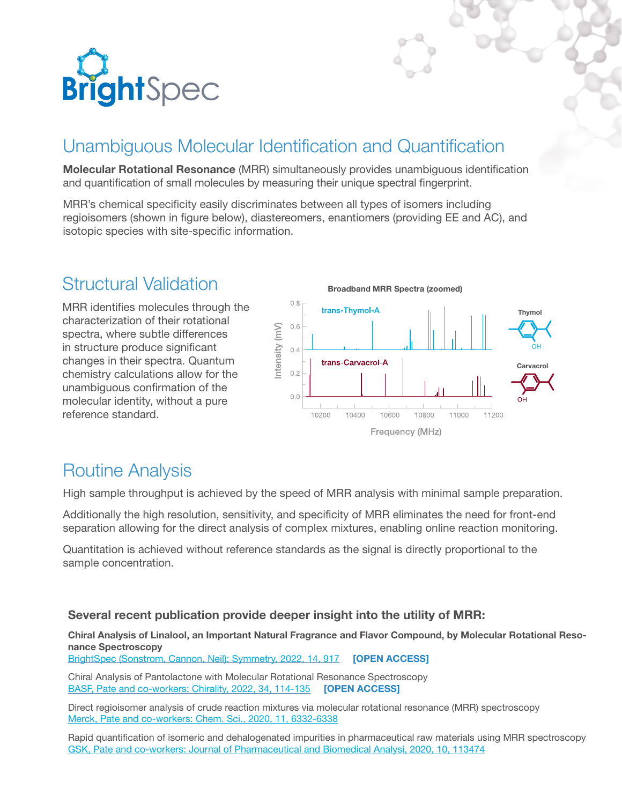

## Unambiguous Molecular Identification and Quantification

**Molecular Rotational Resonance** (MRR) simultaneously provides unambiguous identification and quantification of small molecules by measuring their unique spectral fingerprint.

MRR's chemical specificity easily discriminates between all types of isomers including regioisomers (shown in figure below), diastereomers, enantiomers (providing EE and AC), and isotopic species with site-specific information.

### Structural Validation

MRR identifies molecules through the characterization of their rotational spectra, where subtle differences in structure produce significant changes in their spectra. Quantum chemistry calculations allow for the unambiguous confirmation of the molecular identity, without a pure reference standard.



### Routine Analysis

High sample throughput is achieved by the speed of MRR analysis with minimal sample preparation.

Additionally the high resolution, sensitivity, and specificity of MRR eliminates the need for front-end separation allowing for the direct analysis of complex mixtures, enabling online reaction monitoring.

Quantitation is achieved without reference standards as the signal is directly proportional to the sample concentration.

### **Several recent publication provide deeper insight into the utility of MRR:**

#### **Chiral Analysis of Linalool, an Important Natural Fragrance and Flavor Compound, by Molecular Rotational Resonance Spectroscopy**

[BrightSpec \(Sonstrom, Cannon, Neil\): Symmetry, 2022, 14, 917](https://www.mdpi.com/2073-8994/14/5/917/htm) **[OPEN ACCESS]**

Chiral Analysis of Pantolactone with Molecular Rotational Resonance Spectroscopy [BASF, Pate and co-workers: Chirality, 2022, 34, 114-135](https://onlinelibrary.wiley.com/doi/epdf/10.1002/chir.23379) **[OPEN ACCESS]**

Direct regioisomer analysis of crude reaction mixtures via molecular rotational resonance (MRR) spectroscopy Merck, Pate and co-workers: Chem. Sci., 2020, 11, 6332-6338

Rapid quantification of isomeric and dehalogenated impurities in pharmaceutical raw materials using MRR spectroscopy GSK, Pate and co-workers: Journal of Pharmaceutical and Biomedical Analysi, 2020, 10, 113474